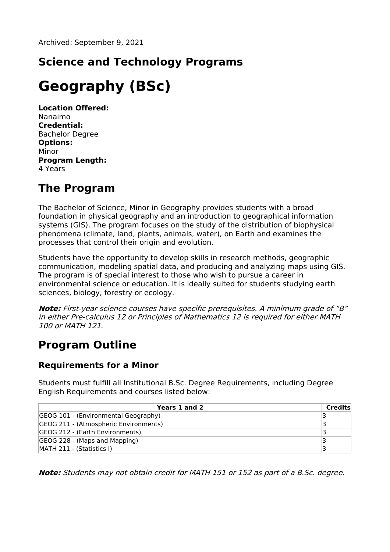## **Science and Technology Programs**

# **Geography (BSc)**

**Location Offered:** Nanaimo **Credential:** Bachelor Degree **Options:** Minor **Program Length:** 4 Years

### **The Program**

The Bachelor of Science, Minor in Geography provides students with a broad foundation in physical geography and an introduction to geographical information systems (GIS). The program focuses on the study of the distribution of biophysical phenomena (climate, land, plants, animals, water), on Earth and examines the processes that control their origin and evolution.

Students have the opportunity to develop skills in research methods, geographic communication, modeling spatial data, and producing and analyzing maps using GIS. The program is of special interest to those who wish to pursue a career in environmental science or education. It is ideally suited for students studying earth sciences, biology, forestry or ecology.

**Note:** First-year science courses have specific prerequisites. A minimum grade of "B" in either Pre-calculus 12 or Principles of Mathematics 12 is required for either MATH 100 or MATH 121.

### **Program Outline**

#### **Requirements for a Minor**

Students must fulfill all Institutional B.Sc. Degree Requirements, including Degree English Requirements and courses listed below:

| Years 1 and 2                         | Credits |
|---------------------------------------|---------|
| GEOG 101 - (Environmental Geography)  |         |
| GEOG 211 - (Atmospheric Environments) |         |
| GEOG 212 - (Earth Environments)       |         |
| GEOG 228 - (Maps and Mapping)         |         |
| MATH 211 - (Statistics I)             |         |

**Note:** Students may not obtain credit for MATH 151 or 152 as part of <sup>a</sup> B.Sc. degree.